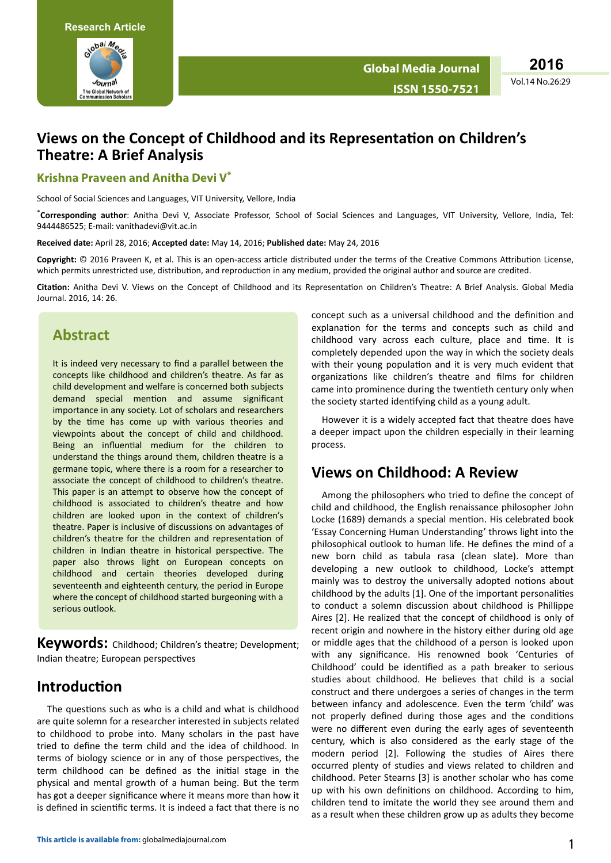

**2016**

#### Vol.14 No.26:29

### **Views on the Concept of Childhood and its Representation on Children's Theatre: A Brief Analysis**

#### **Krishna Praveen and Anitha Devi V\***

School of Social Sciences and Languages, VIT University, Vellore, India

\***Corresponding author**: Anitha Devi V, Associate Professor, School of Social Sciences and Languages, VIT University, Vellore, India, Tel: 9444486525; E-mail: [vanithadevi@vit.ac.in](mailto:vanithadevi@vit.ac.in)

**Received date:** April 28, 2016; **Accepted date:** May 14, 2016; **Published date:** May 24, 2016

Copyright: © 2016 Praveen K, et al. This is an open-access article distributed under the terms of the Creative Commons Attribution License, which permits unrestricted use, distribution, and reproduction in any medium, provided the original author and source are credited.

Citation: Anitha Devi V. Views on the Concept of Childhood and its Representation on Children's Theatre: A Brief Analysis. Global Media Journal. 2016, 14: 26.

### **Abstract**

It is indeed very necessary to find a parallel between the concepts like childhood and children's theatre. As far as child development and welfare is concerned both subjects demand special mention and assume significant importance in any society. Lot of scholars and researchers by the time has come up with various theories and viewpoints about the concept of child and childhood. Being an influential medium for the children to understand the things around them, children theatre is a germane topic, where there is a room for a researcher to associate the concept of childhood to children's theatre. This paper is an attempt to observe how the concept of childhood is associated to children's theatre and how children are looked upon in the context of children's theatre. Paper is inclusive of discussions on advantages of children's theatre for the children and representation of children in Indian theatre in historical perspective. The paper also throws light on European concepts on childhood and certain theories developed during seventeenth and eighteenth century, the period in Europe where the concept of childhood started burgeoning with a serious outlook.

**Keywords:** Childhood; Children's theatre; Development; Indian theatre; European perspectives

#### **Introduction**

The questions such as who is a child and what is childhood are quite solemn for a researcher interested in subjects related to childhood to probe into. Many scholars in the past have tried to define the term child and the idea of childhood. In terms of biology science or in any of those perspectives, the term childhood can be defined as the initial stage in the physical and mental growth of a human being. But the term has got a deeper significance where it means more than how it is defined in scientific terms. It is indeed a fact that there is no concept such as a universal childhood and the definition and explanation for the terms and concepts such as child and childhood vary across each culture, place and time. It is completely depended upon the way in which the society deals with their young population and it is very much evident that organizations like children's theatre and films for children came into prominence during the twentieth century only when the society started identifying child as a young adult.

However it is a widely accepted fact that theatre does have a deeper impact upon the children especially in their learning process.

### **Views on Childhood: A Review**

Among the philosophers who tried to define the concept of child and childhood, the English renaissance philosopher John Locke (1689) demands a special mention. His celebrated book 'Essay Concerning Human Understanding' throws light into the philosophical outlook to human life. He defines the mind of a new born child as tabula rasa (clean slate). More than developing a new outlook to childhood. Locke's attempt mainly was to destroy the universally adopted notions about childhood by the adults [1]. One of the important personalities to conduct a solemn discussion about childhood is Phillippe Aires [2]. He realized that the concept of childhood is only of recent origin and nowhere in the history either during old age or middle ages that the childhood of a person is looked upon with any significance. His renowned book 'Centuries of Childhood' could be identified as a path breaker to serious studies about childhood. He believes that child is a social construct and there undergoes a series of changes in the term between infancy and adolescence. Even the term 'child' was not properly defined during those ages and the conditions were no different even during the early ages of seventeenth century, which is also considered as the early stage of the modern period [2]. Following the studies of Aires there occurred plenty of studies and views related to children and childhood. Peter Stearns [3] is another scholar who has come up with his own definitions on childhood. According to him, children tend to imitate the world they see around them and as a result when these children grow up as adults they become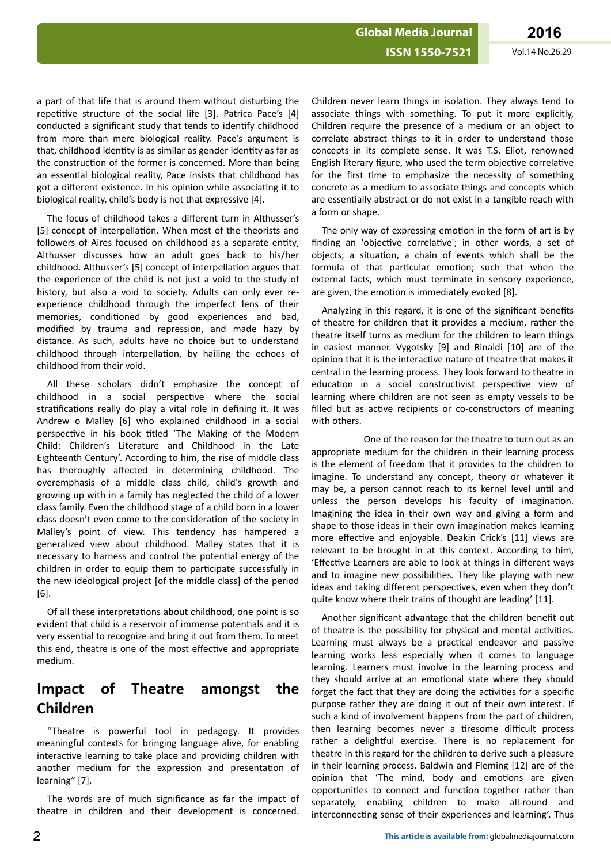a part of that life that is around them without disturbing the repetitive structure of the social life [3]. Patrica Pace's [4] conducted a significant study that tends to identify childhood from more than mere biological reality. Pace's argument is that, childhood identity is as similar as gender identity as far as the construction of the former is concerned. More than being an essential biological reality, Pace insists that childhood has got a different existence. In his opinion while associating it to biological reality, child's body is not that expressive [4].

The focus of childhood takes a different turn in Althusser's [5] concept of interpellation. When most of the theorists and followers of Aires focused on childhood as a separate entity. Althusser discusses how an adult goes back to his/her childhood. Althusser's [5] concept of interpellation argues that the experience of the child is not just a void to the study of history, but also a void to society. Adults can only ever reexperience childhood through the imperfect lens of their memories, conditioned by good experiences and bad, modified by trauma and repression, and made hazy by distance. As such, adults have no choice but to understand childhood through interpellation, by hailing the echoes of childhood from their void.

All these scholars didn't emphasize the concept of childhood in a social perspective where the social stratifications really do play a vital role in defining it. It was Andrew o Malley [6] who explained childhood in a social perspective in his book titled 'The Making of the Modern Child: Children's Literature and Childhood in the Late Eighteenth Century'. According to him, the rise of middle class has thoroughly affected in determining childhood. The overemphasis of a middle class child, child's growth and growing up with in a family has neglected the child of a lower class family. Even the childhood stage of a child born in a lower class doesn't even come to the consideration of the society in Malley's point of view. This tendency has hampered a generalized view about childhood. Malley states that it is necessary to harness and control the potential energy of the children in order to equip them to participate successfully in the new ideological project [of the middle class] of the period [6].

Of all these interpretations about childhood, one point is so evident that child is a reservoir of immense potentials and it is very essential to recognize and bring it out from them. To meet this end, theatre is one of the most effective and appropriate medium.

# **Impact of Theatre amongst the Children**

"Theatre is powerful tool in pedagogy. It provides meaningful contexts for bringing language alive, for enabling interactive learning to take place and providing children with another medium for the expression and presentation of learning" [7].

The words are of much significance as far the impact of theatre in children and their development is concerned.

Children never learn things in isolation. They always tend to associate things with something. To put it more explicitly, Children require the presence of a medium or an object to correlate abstract things to it in order to understand those concepts in its complete sense. It was T.S. Eliot, renowned English literary figure, who used the term objective correlative for the first time to emphasize the necessity of something concrete as a medium to associate things and concepts which are essentially abstract or do not exist in a tangible reach with a form or shape.

The only way of expressing emotion in the form of art is by finding an 'objective correlative'; in other words, a set of objects, a situation, a chain of events which shall be the formula of that particular emotion: such that when the external facts, which must terminate in sensory experience, are given, the emotion is immediately evoked [8].

Analyzing in this regard, it is one of the significant benefits of theatre for children that it provides a medium, rather the theatre itself turns as medium for the children to learn things in easiest manner. Vygotsky [9] and Rinaldi [10] are of the opinion that it is the interactive nature of theatre that makes it central in the learning process. They look forward to theatre in education in a social constructivist perspective view of learning where children are not seen as empty vessels to be filled but as active recipients or co-constructors of meaning with others.

One of the reason for the theatre to turn out as an appropriate medium for the children in their learning process is the element of freedom that it provides to the children to imagine. To understand any concept, theory or whatever it may be, a person cannot reach to its kernel level until and unless the person develops his faculty of imagination. Imagining the idea in their own way and giving a form and shape to those ideas in their own imagination makes learning more effective and enjoyable. Deakin Crick's [11] views are relevant to be brought in at this context. According to him, 'Effective Learners are able to look at things in different ways and to imagine new possibilities. They like playing with new ideas and taking different perspectives, even when they don't quite know where their trains of thought are leading' [11].

Another significant advantage that the children benefit out of theatre is the possibility for physical and mental activities. Learning must always be a practical endeavor and passive learning works less especially when it comes to language learning. Learners must involve in the learning process and they should arrive at an emotional state where they should forget the fact that they are doing the activities for a specific purpose rather they are doing it out of their own interest. If such a kind of involvement happens from the part of children, then learning becomes never a tiresome difficult process rather a delightful exercise. There is no replacement for theatre in this regard for the children to derive such a pleasure in their learning process. Baldwin and Fleming [12] are of the opinion that 'The mind, body and emotions are given opportunities to connect and function together rather than separately, enabling children to make all-round and interconnecting sense of their experiences and learning'. Thus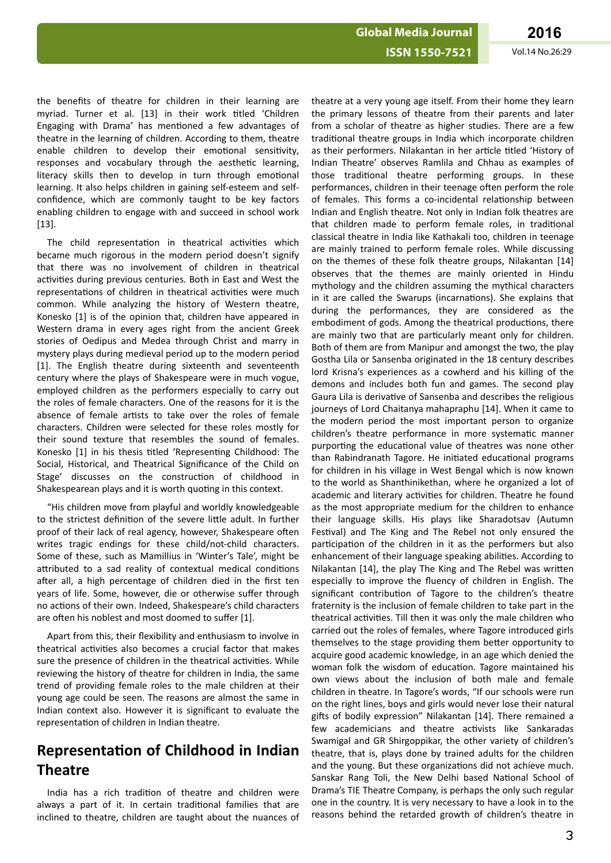Vol.14 No.26:29

the benefits of theatre for children in their learning are myriad. Turner et al. [13] in their work titled 'Children Engaging with Drama' has mentioned a few advantages of theatre in the learning of children. According to them, theatre enable children to develop their emotional sensitivity, responses and vocabulary through the aesthetic learning, literacy skills then to develop in turn through emotional learning. It also helps children in gaining self-esteem and selfconfidence, which are commonly taught to be key factors enabling children to engage with and succeed in school work  $[13]$ .

The child representation in theatrical activities which became much rigorous in the modern period doesn't signify that there was no involvement of children in theatrical activities during previous centuries. Both in East and West the representations of children in theatrical activities were much common. While analyzing the history of Western theatre, Konesko [1] is of the opinion that, children have appeared in Western drama in every ages right from the ancient Greek stories of Oedipus and Medea through Christ and marry in mystery plays during medieval period up to the modern period [1]. The English theatre during sixteenth and seventeenth century where the plays of Shakespeare were in much vogue, employed children as the performers especially to carry out the roles of female characters. One of the reasons for it is the absence of female artists to take over the roles of female characters. Children were selected for these roles mostly for their sound texture that resembles the sound of females. Konesko [1] in his thesis titled 'Representing Childhood: The Social, Historical, and Theatrical Significance of the Child on Stage' discusses on the construction of childhood in Shakespearean plays and it is worth quoting in this context.

"His children move from playful and worldly knowledgeable to the strictest definition of the severe little adult. In further proof of their lack of real agency, however, Shakespeare often writes tragic endings for these child/not-child characters. Some of these, such as Mamillius in 'Winter's Tale', might be attributed to a sad reality of contextual medical conditions after all, a high percentage of children died in the first ten vears of life. Some, however, die or otherwise suffer through no actions of their own. Indeed, Shakespeare's child characters are often his noblest and most doomed to suffer [1].

Apart from this, their flexibility and enthusiasm to involve in theatrical activities also becomes a crucial factor that makes sure the presence of children in the theatrical activities. While reviewing the history of theatre for children in India, the same trend of providing female roles to the male children at their young age could be seen. The reasons are almost the same in Indian context also. However it is significant to evaluate the representation of children in Indian theatre.

# **Representation of Childhood in Indian Theatre**

India has a rich tradition of theatre and children were always a part of it. In certain traditional families that are inclined to theatre, children are taught about the nuances of

theatre at a very young age itself. From their home they learn the primary lessons of theatre from their parents and later from a scholar of theatre as higher studies. There are a few traditional theatre groups in India which incorporate children as their performers. Nilakantan in her article titled 'History of Indian Theatre' observes Ramlila and Chhau as examples of those traditional theatre performing groups. In these performances, children in their teenage often perform the role of females. This forms a co-incidental relationship between Indian and English theatre. Not only in Indian folk theatres are that children made to perform female roles, in traditional classical theatre in India like Kathakali too, children in teenage are mainly trained to perform female roles. While discussing on the themes of these folk theatre groups, Nilakantan [14] observes that the themes are mainly oriented in Hindu mythology and the children assuming the mythical characters in it are called the Swarups (incarnations). She explains that during the performances, they are considered as the embodiment of gods. Among the theatrical productions, there are mainly two that are particularly meant only for children. Both of them are from Manipur and amongst the two, the play Gostha Lila or Sansenba originated in the 18 century describes lord Krisna's experiences as a cowherd and his killing of the demons and includes both fun and games. The second play Gaura Lila is derivative of Sansenba and describes the religious journeys of Lord Chaitanya mahapraphu [14]. When it came to the modern period the most important person to organize children's theatre performance in more systematic manner purporting the educational value of theatres was none other than Rabindranath Tagore. He initiated educational programs for children in his village in West Bengal which is now known to the world as Shanthinikethan, where he organized a lot of academic and literary activities for children. Theatre he found as the most appropriate medium for the children to enhance their language skills. His plays like Sharadotsav (Autumn Festival) and The King and The Rebel not only ensured the participation of the children in it as the performers but also enhancement of their language speaking abilities. According to Nilakantan [14], the play The King and The Rebel was written especially to improve the fluency of children in English. The significant contribution of Tagore to the children's theatre fraternity is the inclusion of female children to take part in the theatrical activities. Till then it was only the male children who carried out the roles of females, where Tagore introduced girls themselves to the stage providing them better opportunity to acquire good academic knowledge, in an age which denied the woman folk the wisdom of education. Tagore maintained his own views about the inclusion of both male and female children in theatre. In Tagore's words, "If our schools were run on the right lines, boys and girls would never lose their natural gifts of bodily expression" Nilakantan [14]. There remained a few academicians and theatre activists like Sankaradas Swamigal and GR Shirgoppikar, the other variety of children's theatre, that is, plays done by trained adults for the children and the young. But these organizations did not achieve much. Sanskar Rang Toli, the New Delhi based National School of Drama's TIE Theatre Company, is perhaps the only such regular one in the country. It is very necessary to have a look in to the reasons behind the retarded growth of children's theatre in